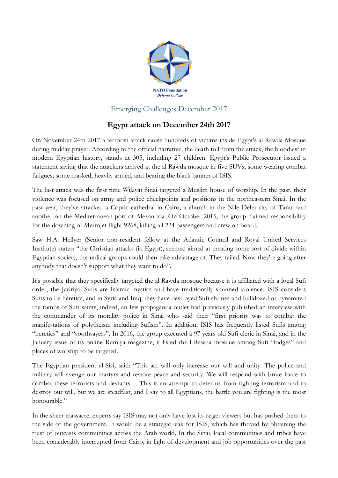

## Emerging Challenges December 2017

## **Egypt attack on December 24th 2017**

On November 24th 2017 a terrorist attack cause hundreds of victims inside Egypt's al Rawda Mosque during midday prayer. According to the official narrative, the death toll from the attack, the bloodiest in modern Egyptian history, stands at 305, including 27 children. Egypt's Public Prosecutor issued a statement saying that the attackers arrived at the al Rawda mosque in five SUVs, some wearing combat fatigues, some masked, heavily armed, and bearing the black banner of ISIS.

The last attack was the first time Wilayat Sinai targeted a Muslim house of worship. In the past, their violence was focused on army and police checkpoints and positions in the northeastern Sinai. In the past year, they've attacked a Coptic cathedral in Cairo, a church in the Nile Delta city of Tanta and another on the Mediterranean port of Alexandria. On October 2015, the group claimed responsibility for the downing of Metrojet flight 9268, killing all 224 passengers and crew on board.

Saw H.A. Hellyer (Senior non-resident fellow at the Atlantic Council and Royal United Services Institute) states: "the Christian attacks (in Egypt), seemed aimed at creating some sort of divide within Egyptian society, the radical groups could then take advantage of. They failed. Now they're going after anybody that doesn't support what they want to do".

It's possible that they specifically targeted the al Rawda mosque because it is affiliated with a local Sufi order, the Jaririya. Sufis are Islamic mystics and have traditionally shunned violence. ISIS considers Sufis to be heretics, and in Syria and Iraq, they have destroyed Sufi shrines and bulldozed or dynamited the tombs of Sufi saints, indeed, an Isis propaganda outlet had previously published an interview with the commander of its morality police in Sinai who said their "first priority was to combat the manifestations of polytheism including Sufism". In addition, ISIS has frequently listed Sufis among "heretics" and "soothsayers". In 2016, the group executed a 97 years old Sufi cleric in Sinai, and in the January issue of its online Rumiya magazine, it listed the l Rawda mosque among Sufi "lodges" and places of worship to be targeted.

The Egyptian president al-Sisi, said: "This act will only increase our will and unity. The police and military will avenge our martyrs and restore peace and security. We will respond with brute force to combat these terrorists and deviants ... This is an attempt to deter us from fighting terrorism and to destroy our will, but we are steadfast, and I say to all Egyptians, the battle you are fighting is the most honourable."

In the sheer massacre, experts say ISIS may not only have lost its target viewers but has pushed them to the side of the government. It would be a strategic leak for ISIS, which has thrived by obtaining the trust of outcasts communities across the Arab world. In the Sinai, local communities and tribes have been considerably interrupted from Cairo, in light of development and job opportunities over the past